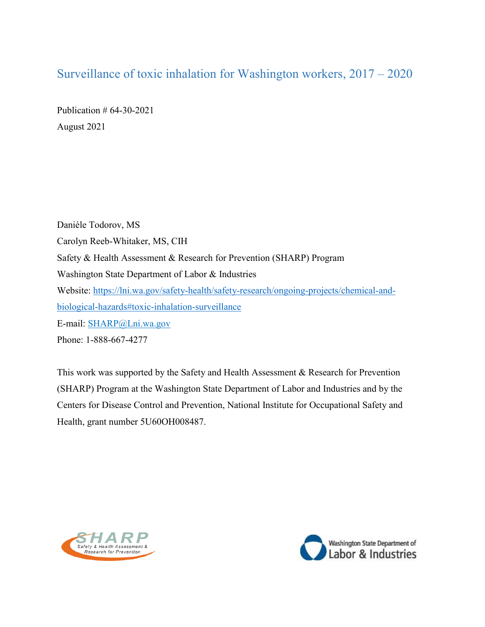# <span id="page-0-0"></span>Surveillance of toxic inhalation for Washington workers, 2017 – 2020

Publication # 64-30-2021 August 2021

Danièle Todorov, MS Carolyn Reeb-Whitaker, MS, CIH Safety & Health Assessment & Research for Prevention (SHARP) Program Washington State Department of Labor & Industries Website: [https://lni.wa.gov/safety-health/safety-research/ongoing-projects/chemical-and](https://lni.wa.gov/safety-health/safety-research/ongoing-projects/chemical-and-biological-hazards#toxic-inhalation-surveillance)[biological-hazards#toxic-inhalation-surveillance](https://lni.wa.gov/safety-health/safety-research/ongoing-projects/chemical-and-biological-hazards#toxic-inhalation-surveillance) E-mail: [SHARP@Lni.wa.gov](mailto:SHARP@Lni.wa.gov) Phone: 1-888-667-4277

This work was supported by the Safety and Health Assessment & Research for Prevention (SHARP) Program at the Washington State Department of Labor and Industries and by the Centers for Disease Control and Prevention, National Institute for Occupational Safety and Health, grant number 5U60OH008487.



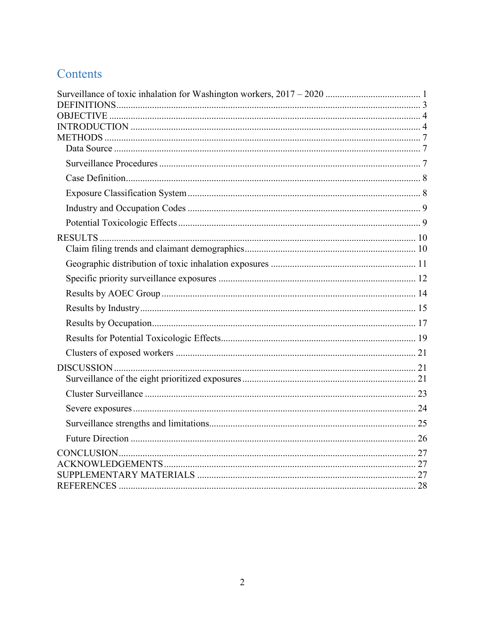# Contents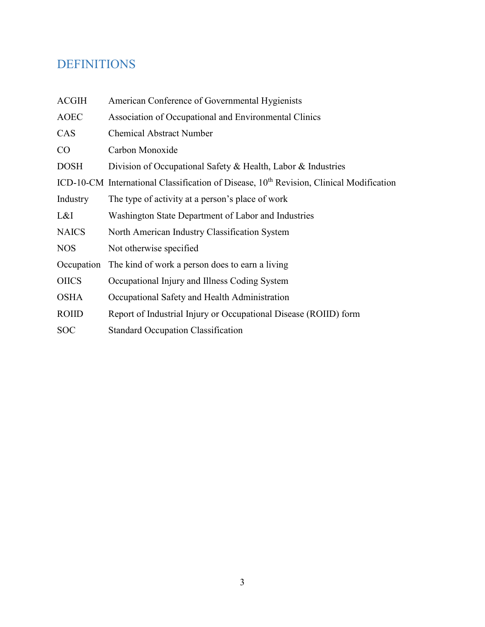# <span id="page-2-0"></span>DEFINITIONS

| <b>ACGIH</b> | American Conference of Governmental Hygienists                                                      |
|--------------|-----------------------------------------------------------------------------------------------------|
| <b>AOEC</b>  | Association of Occupational and Environmental Clinics                                               |
| <b>CAS</b>   | <b>Chemical Abstract Number</b>                                                                     |
| CO           | Carbon Monoxide                                                                                     |
| <b>DOSH</b>  | Division of Occupational Safety & Health, Labor & Industries                                        |
|              | ICD-10-CM International Classification of Disease, 10 <sup>th</sup> Revision, Clinical Modification |
| Industry     | The type of activity at a person's place of work                                                    |
| L&I          | Washington State Department of Labor and Industries                                                 |
| <b>NAICS</b> | North American Industry Classification System                                                       |
| <b>NOS</b>   | Not otherwise specified                                                                             |
| Occupation   | The kind of work a person does to earn a living                                                     |
| <b>OIICS</b> | Occupational Injury and Illness Coding System                                                       |
| <b>OSHA</b>  | Occupational Safety and Health Administration                                                       |
| <b>ROIID</b> | Report of Industrial Injury or Occupational Disease (ROIID) form                                    |
| <b>SOC</b>   | <b>Standard Occupation Classification</b>                                                           |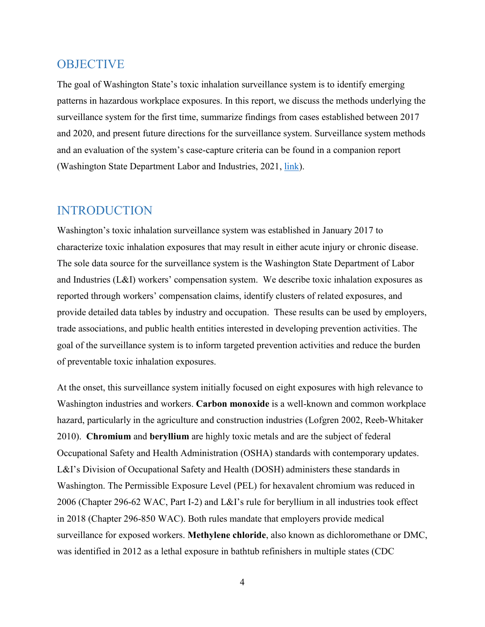## <span id="page-3-0"></span>**OBJECTIVE**

The goal of Washington State's toxic inhalation surveillance system is to identify emerging patterns in hazardous workplace exposures. In this report, we discuss the methods underlying the surveillance system for the first time, summarize findings from cases established between 2017 and 2020, and present future directions for the surveillance system. Surveillance system methods and an evaluation of the system's case-capture criteria can be found in a companion report (Washington State Department Labor and Industries, 2021, [link\)](https://lni.wa.gov/safety-health/safety-research/files/2021/64_31_2021_MethodsEvalSurveillanceToxicInhal_2017-2020.pdf).

# <span id="page-3-1"></span>INTRODUCTION

Washington's toxic inhalation surveillance system was established in January 2017 to characterize toxic inhalation exposures that may result in either acute injury or chronic disease. The sole data source for the surveillance system is the Washington State Department of Labor and Industries (L&I) workers' compensation system. We describe toxic inhalation exposures as reported through workers' compensation claims, identify clusters of related exposures, and provide detailed data tables by industry and occupation. These results can be used by employers, trade associations, and public health entities interested in developing prevention activities. The goal of the surveillance system is to inform targeted prevention activities and reduce the burden of preventable toxic inhalation exposures.

At the onset, this surveillance system initially focused on eight exposures with high relevance to Washington industries and workers. **Carbon monoxide** is a well-known and common workplace hazard, particularly in the agriculture and construction industries (Lofgren 2002, Reeb-Whitaker 2010). **Chromium** and **beryllium** are highly toxic metals and are the subject of federal Occupational Safety and Health Administration (OSHA) standards with contemporary updates. L&I's Division of Occupational Safety and Health (DOSH) administers these standards in Washington. The Permissible Exposure Level (PEL) for hexavalent chromium was reduced in 2006 (Chapter 296-62 WAC, Part I-2) and L&I's rule for beryllium in all industries took effect in 2018 (Chapter 296-850 WAC). Both rules mandate that employers provide medical surveillance for exposed workers. **Methylene chloride**, also known as dichloromethane or DMC, was identified in 2012 as a lethal exposure in bathtub refinishers in multiple states (CDC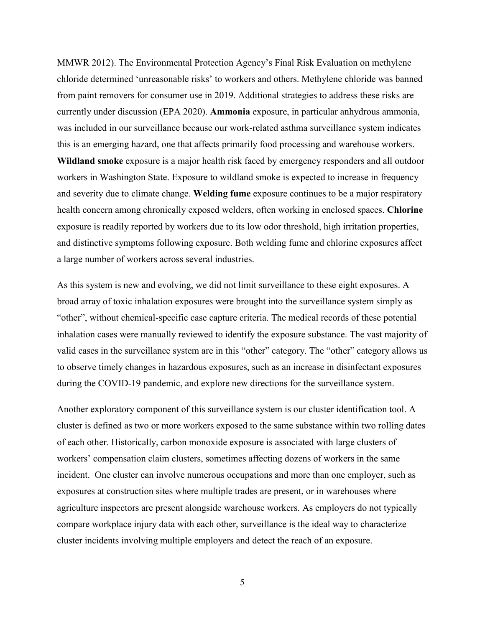MMWR 2012). The Environmental Protection Agency's Final Risk Evaluation on methylene chloride determined 'unreasonable risks' to workers and others. Methylene chloride was banned from paint removers for consumer use in 2019. Additional strategies to address these risks are currently under discussion (EPA 2020). **Ammonia** exposure, in particular anhydrous ammonia, was included in our surveillance because our work-related asthma surveillance system indicates this is an emerging hazard, one that affects primarily food processing and warehouse workers. **Wildland smoke** exposure is a major health risk faced by emergency responders and all outdoor workers in Washington State. Exposure to wildland smoke is expected to increase in frequency and severity due to climate change. **Welding fume** exposure continues to be a major respiratory health concern among chronically exposed welders, often working in enclosed spaces. **Chlorine** exposure is readily reported by workers due to its low odor threshold, high irritation properties, and distinctive symptoms following exposure. Both welding fume and chlorine exposures affect a large number of workers across several industries.

As this system is new and evolving, we did not limit surveillance to these eight exposures. A broad array of toxic inhalation exposures were brought into the surveillance system simply as "other", without chemical-specific case capture criteria. The medical records of these potential inhalation cases were manually reviewed to identify the exposure substance. The vast majority of valid cases in the surveillance system are in this "other" category. The "other" category allows us to observe timely changes in hazardous exposures, such as an increase in disinfectant exposures during the COVID-19 pandemic, and explore new directions for the surveillance system.

Another exploratory component of this surveillance system is our cluster identification tool. A cluster is defined as two or more workers exposed to the same substance within two rolling dates of each other. Historically, carbon monoxide exposure is associated with large clusters of workers' compensation claim clusters, sometimes affecting dozens of workers in the same incident. One cluster can involve numerous occupations and more than one employer, such as exposures at construction sites where multiple trades are present, or in warehouses where agriculture inspectors are present alongside warehouse workers. As employers do not typically compare workplace injury data with each other, surveillance is the ideal way to characterize cluster incidents involving multiple employers and detect the reach of an exposure.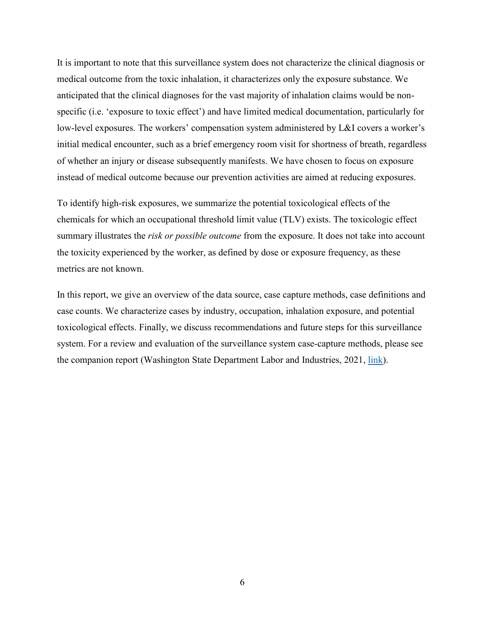It is important to note that this surveillance system does not characterize the clinical diagnosis or medical outcome from the toxic inhalation, it characterizes only the exposure substance. We anticipated that the clinical diagnoses for the vast majority of inhalation claims would be nonspecific (i.e. 'exposure to toxic effect') and have limited medical documentation, particularly for low-level exposures. The workers' compensation system administered by L&I covers a worker's initial medical encounter, such as a brief emergency room visit for shortness of breath, regardless of whether an injury or disease subsequently manifests. We have chosen to focus on exposure instead of medical outcome because our prevention activities are aimed at reducing exposures.

To identify high-risk exposures, we summarize the potential toxicological effects of the chemicals for which an occupational threshold limit value (TLV) exists. The toxicologic effect summary illustrates the *risk or possible outcome* from the exposure. It does not take into account the toxicity experienced by the worker, as defined by dose or exposure frequency, as these metrics are not known.

In this report, we give an overview of the data source, case capture methods, case definitions and case counts. We characterize cases by industry, occupation, inhalation exposure, and potential toxicological effects. Finally, we discuss recommendations and future steps for this surveillance system. For a review and evaluation of the surveillance system case-capture methods, please see the companion report (Washington State Department Labor and Industries, 2021, [link\)](https://lni.wa.gov/safety-health/safety-research/files/2021/64_31_2021_MethodsEvalSurveillanceToxicInhal_2017-2020.pdf).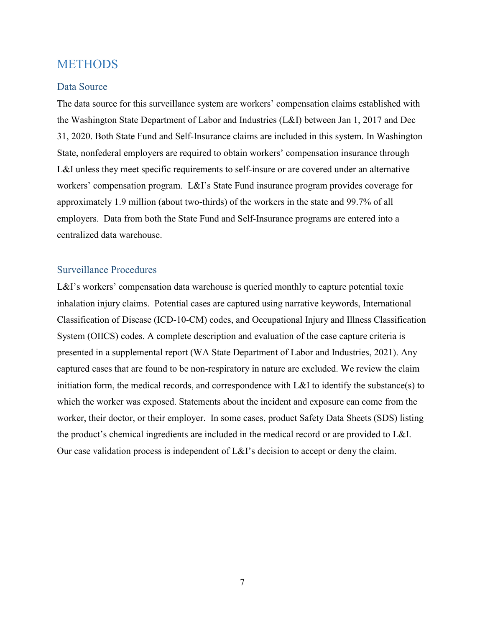# <span id="page-6-0"></span>**METHODS**

### <span id="page-6-1"></span>Data Source

The data source for this surveillance system are workers' compensation claims established with the Washington State Department of Labor and Industries (L&I) between Jan 1, 2017 and Dec 31, 2020. Both State Fund and Self-Insurance claims are included in this system. In Washington State, nonfederal employers are required to obtain workers' compensation insurance through L&I unless they meet specific requirements to self-insure or are covered under an alternative workers' compensation program. L&I's State Fund insurance program provides coverage for approximately 1.9 million (about two-thirds) of the workers in the state and 99.7% of all employers. Data from both the State Fund and Self-Insurance programs are entered into a centralized data warehouse.

## <span id="page-6-2"></span>Surveillance Procedures

L&I's workers' compensation data warehouse is queried monthly to capture potential toxic inhalation injury claims. Potential cases are captured using narrative keywords, International Classification of Disease (ICD-10-CM) codes, and Occupational Injury and Illness Classification System (OIICS) codes. A complete description and evaluation of the case capture criteria is presented in a supplemental report (WA State Department of Labor and Industries, 2021). Any captured cases that are found to be non-respiratory in nature are excluded. We review the claim initiation form, the medical records, and correspondence with L&I to identify the substance(s) to which the worker was exposed. Statements about the incident and exposure can come from the worker, their doctor, or their employer. In some cases, product Safety Data Sheets (SDS) listing the product's chemical ingredients are included in the medical record or are provided to L&I. Our case validation process is independent of L&I's decision to accept or deny the claim.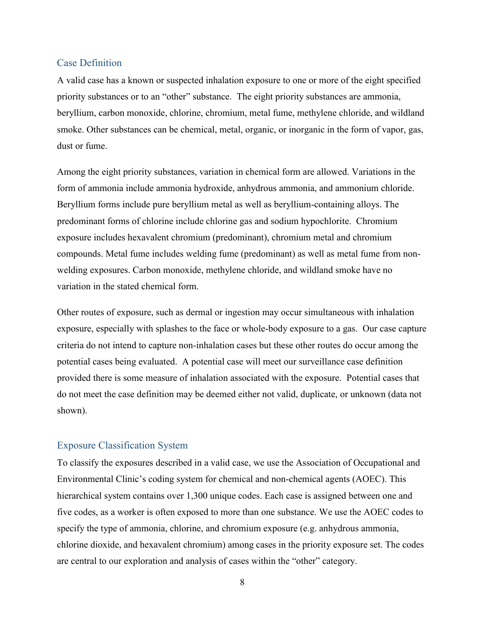### <span id="page-7-0"></span>Case Definition

A valid case has a known or suspected inhalation exposure to one or more of the eight specified priority substances or to an "other" substance. The eight priority substances are ammonia, beryllium, carbon monoxide, chlorine, chromium, metal fume, methylene chloride, and wildland smoke. Other substances can be chemical, metal, organic, or inorganic in the form of vapor, gas, dust or fume.

Among the eight priority substances, variation in chemical form are allowed. Variations in the form of ammonia include ammonia hydroxide, anhydrous ammonia, and ammonium chloride. Beryllium forms include pure beryllium metal as well as beryllium-containing alloys. The predominant forms of chlorine include chlorine gas and sodium hypochlorite. Chromium exposure includes hexavalent chromium (predominant), chromium metal and chromium compounds. Metal fume includes welding fume (predominant) as well as metal fume from nonwelding exposures. Carbon monoxide, methylene chloride, and wildland smoke have no variation in the stated chemical form.

Other routes of exposure, such as dermal or ingestion may occur simultaneous with inhalation exposure, especially with splashes to the face or whole-body exposure to a gas. Our case capture criteria do not intend to capture non-inhalation cases but these other routes do occur among the potential cases being evaluated. A potential case will meet our surveillance case definition provided there is some measure of inhalation associated with the exposure. Potential cases that do not meet the case definition may be deemed either not valid, duplicate, or unknown (data not shown).

### <span id="page-7-1"></span>Exposure Classification System

To classify the exposures described in a valid case, we use the Association of Occupational and Environmental Clinic's coding system for chemical and non-chemical agents (AOEC). This hierarchical system contains over 1,300 unique codes. Each case is assigned between one and five codes, as a worker is often exposed to more than one substance. We use the AOEC codes to specify the type of ammonia, chlorine, and chromium exposure (e.g. anhydrous ammonia, chlorine dioxide, and hexavalent chromium) among cases in the priority exposure set. The codes are central to our exploration and analysis of cases within the "other" category.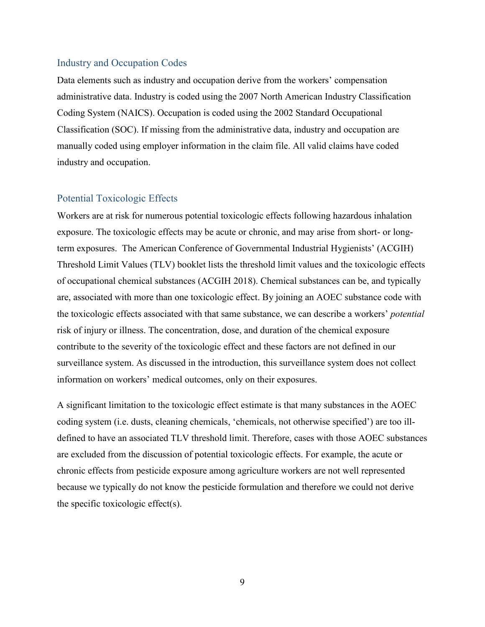#### <span id="page-8-0"></span>Industry and Occupation Codes

Data elements such as industry and occupation derive from the workers' compensation administrative data. Industry is coded using the 2007 North American Industry Classification Coding System (NAICS). Occupation is coded using the 2002 Standard Occupational Classification (SOC). If missing from the administrative data, industry and occupation are manually coded using employer information in the claim file. All valid claims have coded industry and occupation.

#### <span id="page-8-1"></span>Potential Toxicologic Effects

Workers are at risk for numerous potential toxicologic effects following hazardous inhalation exposure. The toxicologic effects may be acute or chronic, and may arise from short- or longterm exposures. The American Conference of Governmental Industrial Hygienists' (ACGIH) Threshold Limit Values (TLV) booklet lists the threshold limit values and the toxicologic effects of occupational chemical substances (ACGIH 2018). Chemical substances can be, and typically are, associated with more than one toxicologic effect. By joining an AOEC substance code with the toxicologic effects associated with that same substance, we can describe a workers' *potential* risk of injury or illness. The concentration, dose, and duration of the chemical exposure contribute to the severity of the toxicologic effect and these factors are not defined in our surveillance system. As discussed in the introduction, this surveillance system does not collect information on workers' medical outcomes, only on their exposures.

A significant limitation to the toxicologic effect estimate is that many substances in the AOEC coding system (i.e. dusts, cleaning chemicals, 'chemicals, not otherwise specified') are too illdefined to have an associated TLV threshold limit. Therefore, cases with those AOEC substances are excluded from the discussion of potential toxicologic effects. For example, the acute or chronic effects from pesticide exposure among agriculture workers are not well represented because we typically do not know the pesticide formulation and therefore we could not derive the specific toxicologic effect(s).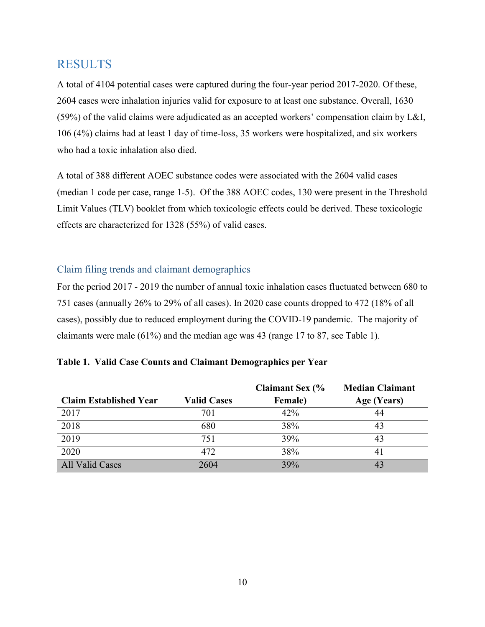# <span id="page-9-0"></span>RESULTS

A total of 4104 potential cases were captured during the four-year period 2017-2020. Of these, 2604 cases were inhalation injuries valid for exposure to at least one substance. Overall, 1630 (59%) of the valid claims were adjudicated as an accepted workers' compensation claim by L&I, 106 (4%) claims had at least 1 day of time-loss, 35 workers were hospitalized, and six workers who had a toxic inhalation also died.

A total of 388 different AOEC substance codes were associated with the 2604 valid cases (median 1 code per case, range 1-5). Of the 388 AOEC codes, 130 were present in the Threshold Limit Values (TLV) booklet from which toxicologic effects could be derived. These toxicologic effects are characterized for 1328 (55%) of valid cases.

## <span id="page-9-1"></span>Claim filing trends and claimant demographics

For the period 2017 - 2019 the number of annual toxic inhalation cases fluctuated between 680 to 751 cases (annually 26% to 29% of all cases). In 2020 case counts dropped to 472 (18% of all cases), possibly due to reduced employment during the COVID-19 pandemic. The majority of claimants were male (61%) and the median age was 43 (range 17 to 87, see Table 1).

|                               |                    | <b>Claimant Sex (%</b> | <b>Median Claimant</b> |
|-------------------------------|--------------------|------------------------|------------------------|
| <b>Claim Established Year</b> | <b>Valid Cases</b> | <b>Female</b> )        | Age (Years)            |
| 2017                          | 701                | 42%                    | 44                     |
| 2018                          | 680                | 38%                    | 43                     |
| 2019                          | 751                | 39%                    | 43                     |
| 2020                          | 472                | 38%                    | 41                     |
| All Valid Cases               | 2604               | 39%                    | 43                     |

|  |  |  |  | Table 1. Valid Case Counts and Claimant Demographics per Year |  |
|--|--|--|--|---------------------------------------------------------------|--|
|--|--|--|--|---------------------------------------------------------------|--|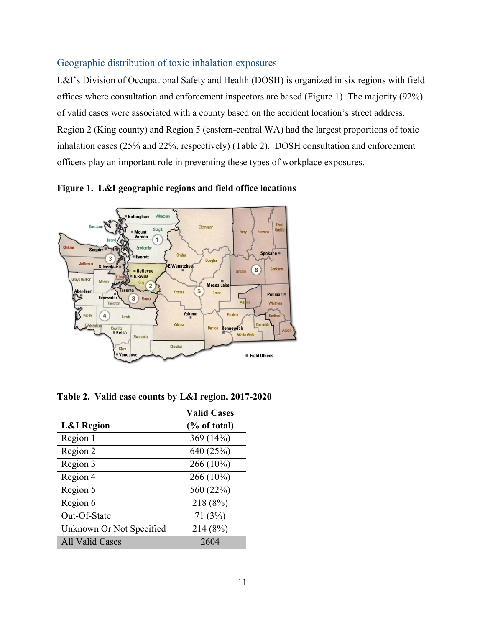## <span id="page-10-0"></span>Geographic distribution of toxic inhalation exposures

L&I's Division of Occupational Safety and Health (DOSH) is organized in six regions with field offices where consultation and enforcement inspectors are based (Figure 1). The majority (92%) of valid cases were associated with a county based on the accident location's street address. Region 2 (King county) and Region 5 (eastern-central WA) had the largest proportions of toxic inhalation cases (25% and 22%, respectively) (Table 2). DOSH consultation and enforcement officers play an important role in preventing these types of workplace exposures.



**Figure 1. L&I geographic regions and field office locations**

| Table 2. Valid case counts by L&I region, 2017-2020 |  |  |
|-----------------------------------------------------|--|--|
|                                                     |  |  |

|                          | <b>Valid Cases</b> |
|--------------------------|--------------------|
| <b>L&amp;I</b> Region    | % of total         |
| Region 1                 | 369 (14%)          |
| Region 2                 | 640 (25%)          |
| Region 3                 | 266 (10%)          |
| Region 4                 | 266 (10%)          |
| Region 5                 | 560 (22%)          |
| Region 6                 | 218 (8%)           |
| Out-Of-State             | 71(3%)             |
| Unknown Or Not Specified | 214 (8%)           |
| <b>All Valid Cases</b>   | 2604               |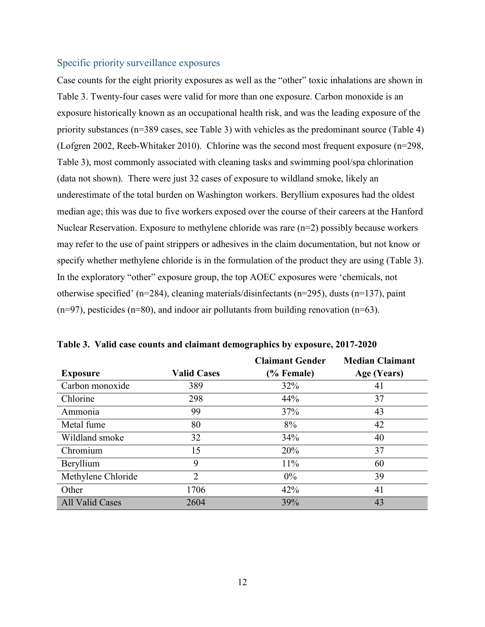#### <span id="page-11-0"></span>Specific priority surveillance exposures

Case counts for the eight priority exposures as well as the "other" toxic inhalations are shown in Table 3. Twenty-four cases were valid for more than one exposure. Carbon monoxide is an exposure historically known as an occupational health risk, and was the leading exposure of the priority substances (n=389 cases, see Table 3) with vehicles as the predominant source (Table 4) (Lofgren 2002, Reeb-Whitaker 2010). Chlorine was the second most frequent exposure (n=298, Table 3), most commonly associated with cleaning tasks and swimming pool/spa chlorination (data not shown). There were just 32 cases of exposure to wildland smoke, likely an underestimate of the total burden on Washington workers. Beryllium exposures had the oldest median age; this was due to five workers exposed over the course of their careers at the Hanford Nuclear Reservation. Exposure to methylene chloride was rare (n=2) possibly because workers may refer to the use of paint strippers or adhesives in the claim documentation, but not know or specify whether methylene chloride is in the formulation of the product they are using (Table 3). In the exploratory "other" exposure group, the top AOEC exposures were 'chemicals, not otherwise specified' (n=284), cleaning materials/disinfectants (n=295), dusts (n=137), paint  $(n=97)$ , pesticides  $(n=80)$ , and indoor air pollutants from building renovation  $(n=63)$ .

|                        |                    | <b>Claimant Gender</b> | <b>Median Claimant</b> |
|------------------------|--------------------|------------------------|------------------------|
| <b>Exposure</b>        | <b>Valid Cases</b> | (% Female)             | Age (Years)            |
| Carbon monoxide        | 389                | 32%                    | 41                     |
| Chlorine               | 298                | 44%                    | 37                     |
| Ammonia                | 99                 | 37%                    | 43                     |
| Metal fume             | 80                 | 8%                     | 42                     |
| Wildland smoke         | 32                 | 34%                    | 40                     |
| Chromium               | 15                 | 20%                    | 37                     |
| Beryllium              | 9                  | 11%                    | 60                     |
| Methylene Chloride     | 2                  | $0\%$                  | 39                     |
| Other                  | 1706               | 42%                    | 41                     |
| <b>All Valid Cases</b> | 2604               | 39%                    | 43                     |

**Table 3. Valid case counts and claimant demographics by exposure, 2017-2020**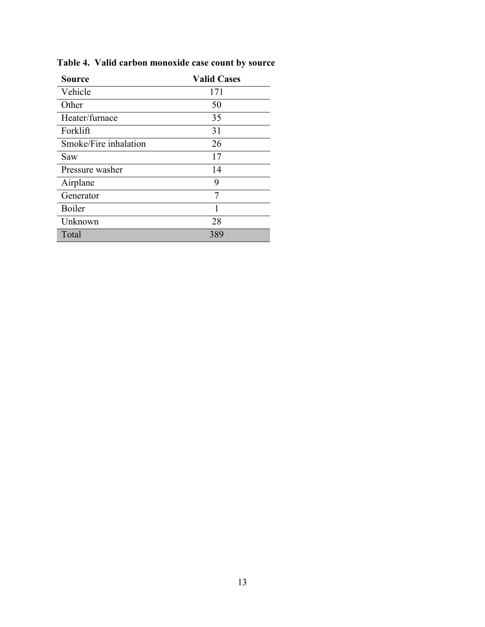| <b>Source</b>         | <b>Valid Cases</b> |
|-----------------------|--------------------|
| Vehicle               | 171                |
| Other                 | 50                 |
| Heater/furnace        | 35                 |
| Forklift              | 31                 |
| Smoke/Fire inhalation | 26                 |
| Saw                   | 17                 |
| Pressure washer       | 14                 |
| Airplane              | 9                  |
| Generator             | 7                  |
| Boiler                |                    |
| Unknown               | 28                 |
| Total                 | 389                |

**Table 4. Valid carbon monoxide case count by source**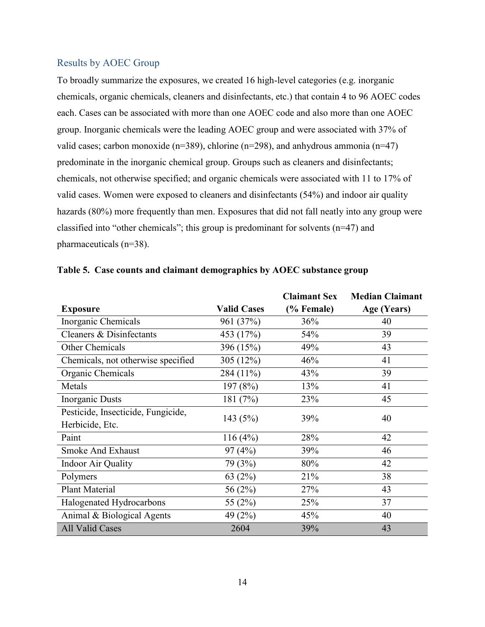### <span id="page-13-0"></span>Results by AOEC Group

To broadly summarize the exposures, we created 16 high-level categories (e.g. inorganic chemicals, organic chemicals, cleaners and disinfectants, etc.) that contain 4 to 96 AOEC codes each. Cases can be associated with more than one AOEC code and also more than one AOEC group. Inorganic chemicals were the leading AOEC group and were associated with 37% of valid cases; carbon monoxide ( $n=389$ ), chlorine ( $n=298$ ), and anhydrous ammonia ( $n=47$ ) predominate in the inorganic chemical group. Groups such as cleaners and disinfectants; chemicals, not otherwise specified; and organic chemicals were associated with 11 to 17% of valid cases. Women were exposed to cleaners and disinfectants (54%) and indoor air quality hazards (80%) more frequently than men. Exposures that did not fall neatly into any group were classified into "other chemicals"; this group is predominant for solvents (n=47) and pharmaceuticals (n=38).

|                                    |                    | <b>Claimant Sex</b> | <b>Median Claimant</b> |
|------------------------------------|--------------------|---------------------|------------------------|
| <b>Exposure</b>                    | <b>Valid Cases</b> | (% Female)          | Age (Years)            |
| Inorganic Chemicals                | 961 (37%)          | 36%                 | 40                     |
| Cleaners & Disinfectants           | 453 (17%)          | 54%                 | 39                     |
| Other Chemicals                    | 396 (15%)          | 49%                 | 43                     |
| Chemicals, not otherwise specified | 305 (12%)          | 46%                 | 41                     |
| Organic Chemicals                  | 284 (11%)          | 43%                 | 39                     |
| Metals                             | 197(8%)            | 13%                 | 41                     |
| <b>Inorganic Dusts</b>             | 181 (7%)           | 23%                 | 45                     |
| Pesticide, Insecticide, Fungicide, |                    | 39%                 | 40                     |
| Herbicide, Etc.                    | 143(5%)            |                     |                        |
| Paint                              | 116(4%)            | 28%                 | 42                     |
| <b>Smoke And Exhaust</b>           | 97(4%)             | 39%                 | 46                     |
| <b>Indoor Air Quality</b>          | 79 (3%)            | 80%                 | 42                     |
| Polymers                           | 63 $(2%)$          | 21%                 | 38                     |
| <b>Plant Material</b>              | 56 (2%)            | 27%                 | 43                     |
| Halogenated Hydrocarbons           | 55 (2%)            | 25%                 | 37                     |
| Animal & Biological Agents         | 49 (2%)            | 45%                 | 40                     |
| All Valid Cases                    | 2604               | 39%                 | 43                     |

|  |  | Table 5. Case counts and claimant demographics by AOEC substance group |  |
|--|--|------------------------------------------------------------------------|--|
|  |  |                                                                        |  |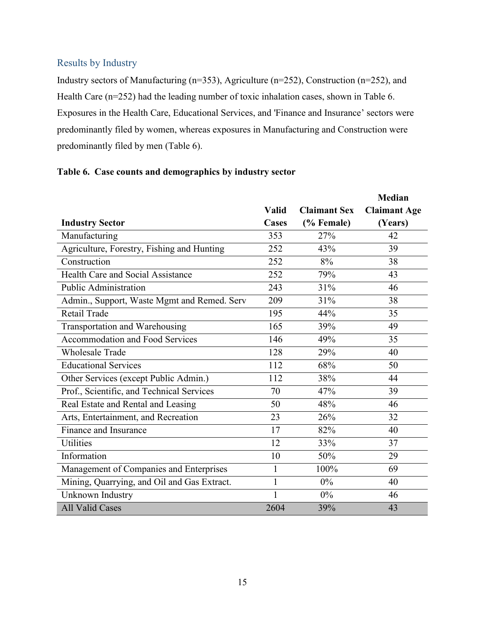## <span id="page-14-0"></span>Results by Industry

Industry sectors of Manufacturing (n=353), Agriculture (n=252), Construction (n=252), and Health Care (n=252) had the leading number of toxic inhalation cases, shown in Table 6. Exposures in the Health Care, Educational Services, and 'Finance and Insurance' sectors were predominantly filed by women, whereas exposures in Manufacturing and Construction were predominantly filed by men (Table 6).

## **Table 6. Case counts and demographics by industry sector**

|                                             |                              |                                   | <b>Median</b>                  |
|---------------------------------------------|------------------------------|-----------------------------------|--------------------------------|
| <b>Industry Sector</b>                      | <b>Valid</b><br><b>Cases</b> | <b>Claimant Sex</b><br>(% Female) | <b>Claimant Age</b><br>(Years) |
| Manufacturing                               | 353                          | 27%                               | 42                             |
| Agriculture, Forestry, Fishing and Hunting  | 252                          | 43%                               | 39                             |
| Construction                                | 252                          | 8%                                | 38                             |
| Health Care and Social Assistance           | 252                          | 79%                               | 43                             |
| <b>Public Administration</b>                | 243                          | 31%                               | 46                             |
| Admin., Support, Waste Mgmt and Remed. Serv | 209                          | 31%                               | 38                             |
| Retail Trade                                | 195                          | 44%                               | 35                             |
| Transportation and Warehousing              | 165                          | 39%                               | 49                             |
| <b>Accommodation and Food Services</b>      | 146                          | 49%                               | 35                             |
| <b>Wholesale Trade</b>                      | 128                          | 29%                               | 40                             |
| <b>Educational Services</b>                 | 112                          | 68%                               | 50                             |
| Other Services (except Public Admin.)       | 112                          | 38%                               | 44                             |
| Prof., Scientific, and Technical Services   | 70                           | 47%                               | 39                             |
| Real Estate and Rental and Leasing          | 50                           | 48%                               | 46                             |
| Arts, Entertainment, and Recreation         | 23                           | 26%                               | 32                             |
| Finance and Insurance                       | 17                           | 82%                               | 40                             |
| <b>Utilities</b>                            | 12                           | 33%                               | 37                             |
| Information                                 | 10                           | 50%                               | 29                             |
| Management of Companies and Enterprises     | 1                            | 100%                              | 69                             |
| Mining, Quarrying, and Oil and Gas Extract. | 1                            | $0\%$                             | 40                             |
| Unknown Industry                            | 1                            | $0\%$                             | 46                             |
| <b>All Valid Cases</b>                      | 2604                         | 39%                               | 43                             |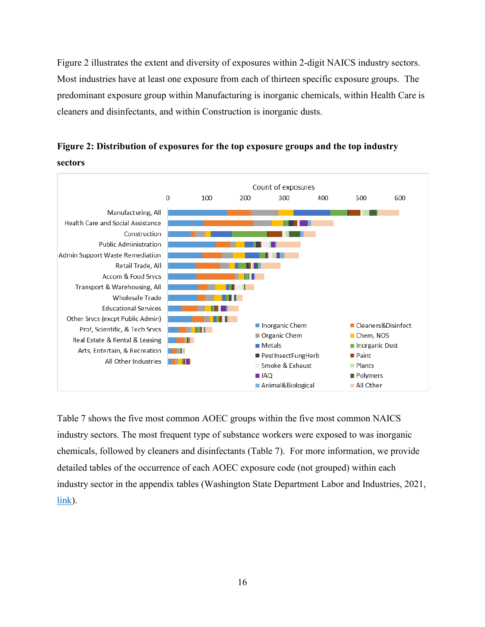Figure 2 illustrates the extent and diversity of exposures within 2-digit NAICS industry sectors. Most industries have at least one exposure from each of thirteen specific exposure groups. The predominant exposure group within Manufacturing is inorganic chemicals, within Health Care is cleaners and disinfectants, and within Construction is inorganic dusts.





Table 7 shows the five most common AOEC groups within the five most common NAICS industry sectors. The most frequent type of substance workers were exposed to was inorganic chemicals, followed by cleaners and disinfectants (Table 7). For more information, we provide detailed tables of the occurrence of each AOEC exposure code (not grouped) within each industry sector in the appendix tables (Washington State Department Labor and Industries, 2021, [link\)](https://lni.wa.gov/safety-health/safety-research/files/2021/64_32_2021_AppendixTablesSurveillanceToxicInhal_2017-2020.pdf).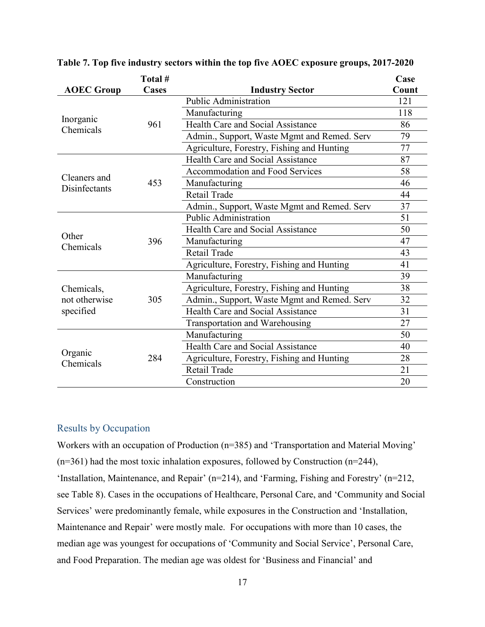|                               | Total #      |                                             | Case  |
|-------------------------------|--------------|---------------------------------------------|-------|
| <b>AOEC Group</b>             | <b>Cases</b> | <b>Industry Sector</b>                      | Count |
|                               |              | <b>Public Administration</b>                | 121   |
|                               |              | Manufacturing                               | 118   |
| Inorganic<br>Chemicals        | 961          | <b>Health Care and Social Assistance</b>    | 86    |
|                               |              | Admin., Support, Waste Mgmt and Remed. Serv | 79    |
|                               |              | Agriculture, Forestry, Fishing and Hunting  | 77    |
|                               |              | <b>Health Care and Social Assistance</b>    | 87    |
|                               |              | <b>Accommodation and Food Services</b>      | 58    |
| Cleaners and<br>Disinfectants | 453          | Manufacturing                               | 46    |
|                               |              | Retail Trade                                | 44    |
|                               |              | Admin., Support, Waste Mgmt and Remed. Serv | 37    |
|                               |              | <b>Public Administration</b>                | 51    |
|                               | 396          | Health Care and Social Assistance           | 50    |
| Other<br>Chemicals            |              | Manufacturing                               | 47    |
|                               |              | Retail Trade                                | 43    |
|                               |              | Agriculture, Forestry, Fishing and Hunting  | 41    |
|                               |              | Manufacturing                               | 39    |
| Chemicals,                    |              | Agriculture, Forestry, Fishing and Hunting  | 38    |
| not otherwise                 | 305          | Admin., Support, Waste Mgmt and Remed. Serv | 32    |
| specified                     |              | <b>Health Care and Social Assistance</b>    | 31    |
|                               |              | Transportation and Warehousing              | 27    |
|                               |              | Manufacturing                               | 50    |
|                               |              | <b>Health Care and Social Assistance</b>    | 40    |
| Organic<br>Chemicals          | 284          | Agriculture, Forestry, Fishing and Hunting  | 28    |
|                               |              | Retail Trade                                | 21    |
|                               |              | Construction                                | 20    |

**Table 7. Top five industry sectors within the top five AOEC exposure groups, 2017-2020**

### <span id="page-16-0"></span>Results by Occupation

Workers with an occupation of Production (n=385) and 'Transportation and Material Moving'  $(n=361)$  had the most toxic inhalation exposures, followed by Construction  $(n=244)$ , 'Installation, Maintenance, and Repair' (n=214), and 'Farming, Fishing and Forestry' (n=212, see Table 8). Cases in the occupations of Healthcare, Personal Care, and 'Community and Social Services' were predominantly female, while exposures in the Construction and 'Installation, Maintenance and Repair' were mostly male. For occupations with more than 10 cases, the median age was youngest for occupations of 'Community and Social Service', Personal Care, and Food Preparation. The median age was oldest for 'Business and Financial' and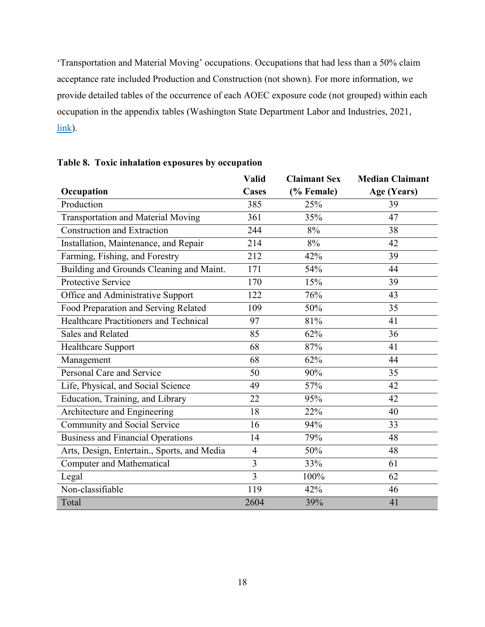'Transportation and Material Moving' occupations. Occupations that had less than a 50% claim acceptance rate included Production and Construction (not shown). For more information, we provide detailed tables of the occurrence of each AOEC exposure code (not grouped) within each occupation in the appendix tables (Washington State Department Labor and Industries, 2021, [link\)](https://lni.wa.gov/safety-health/safety-research/files/2021/64_32_2021_AppendixTablesSurveillanceToxicInhal_2017-2020.pdf).

|                                             | Valid          | <b>Claimant Sex</b> | <b>Median Claimant</b> |
|---------------------------------------------|----------------|---------------------|------------------------|
| Occupation                                  | <b>Cases</b>   | (% Female)          | Age (Years)            |
| Production                                  | 385            | 25%                 | 39                     |
| <b>Transportation and Material Moving</b>   | 361            | 35%                 | 47                     |
| <b>Construction and Extraction</b>          | 244            | 8%                  | 38                     |
| Installation, Maintenance, and Repair       | 214            | 8%                  | 42                     |
| Farming, Fishing, and Forestry              | 212            | 42%                 | 39                     |
| Building and Grounds Cleaning and Maint.    | 171            | 54%                 | 44                     |
| Protective Service                          | 170            | 15%                 | 39                     |
| Office and Administrative Support           | 122            | 76%                 | 43                     |
| Food Preparation and Serving Related        | 109            | 50%                 | 35                     |
| Healthcare Practitioners and Technical      | 97             | 81%                 | 41                     |
| Sales and Related                           | 85             | 62%                 | 36                     |
| Healthcare Support                          | 68             | 87%                 | 41                     |
| Management                                  | 68             | 62%                 | 44                     |
| Personal Care and Service                   | 50             | 90%                 | 35                     |
| Life, Physical, and Social Science          | 49             | 57%                 | 42                     |
| Education, Training, and Library            | 22             | 95%                 | 42                     |
| Architecture and Engineering                | 18             | 22%                 | 40                     |
| Community and Social Service                | 16             | 94%                 | 33                     |
| <b>Business and Financial Operations</b>    | 14             | 79%                 | 48                     |
| Arts, Design, Entertain., Sports, and Media | $\overline{4}$ | 50%                 | 48                     |
| <b>Computer and Mathematical</b>            | $\overline{3}$ | 33%                 | 61                     |
| Legal                                       | $\overline{3}$ | 100%                | 62                     |
| Non-classifiable                            | 119            | 42%                 | 46                     |
| Total                                       | 2604           | 39%                 | 41                     |

**Table 8. Toxic inhalation exposures by occupation**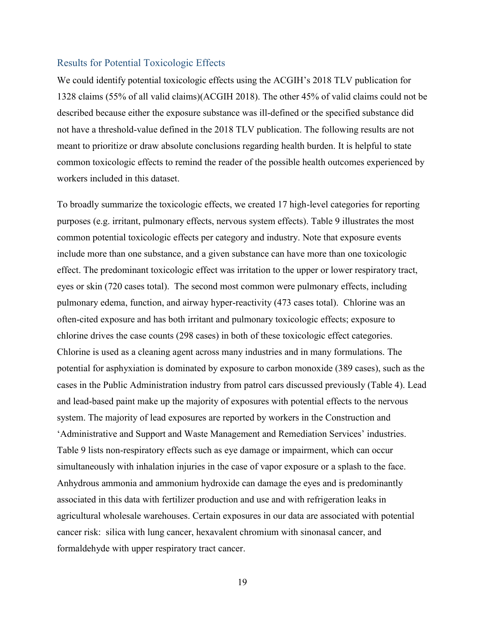#### <span id="page-18-0"></span>Results for Potential Toxicologic Effects

We could identify potential toxicologic effects using the ACGIH's 2018 TLV publication for 1328 claims (55% of all valid claims)(ACGIH 2018). The other 45% of valid claims could not be described because either the exposure substance was ill-defined or the specified substance did not have a threshold-value defined in the 2018 TLV publication. The following results are not meant to prioritize or draw absolute conclusions regarding health burden. It is helpful to state common toxicologic effects to remind the reader of the possible health outcomes experienced by workers included in this dataset.

To broadly summarize the toxicologic effects, we created 17 high-level categories for reporting purposes (e.g. irritant, pulmonary effects, nervous system effects). Table 9 illustrates the most common potential toxicologic effects per category and industry. Note that exposure events include more than one substance, and a given substance can have more than one toxicologic effect. The predominant toxicologic effect was irritation to the upper or lower respiratory tract, eyes or skin (720 cases total). The second most common were pulmonary effects, including pulmonary edema, function, and airway hyper-reactivity (473 cases total). Chlorine was an often-cited exposure and has both irritant and pulmonary toxicologic effects; exposure to chlorine drives the case counts (298 cases) in both of these toxicologic effect categories. Chlorine is used as a cleaning agent across many industries and in many formulations. The potential for asphyxiation is dominated by exposure to carbon monoxide (389 cases), such as the cases in the Public Administration industry from patrol cars discussed previously (Table 4). Lead and lead-based paint make up the majority of exposures with potential effects to the nervous system. The majority of lead exposures are reported by workers in the Construction and 'Administrative and Support and Waste Management and Remediation Services' industries. Table 9 lists non-respiratory effects such as eye damage or impairment, which can occur simultaneously with inhalation injuries in the case of vapor exposure or a splash to the face. Anhydrous ammonia and ammonium hydroxide can damage the eyes and is predominantly associated in this data with fertilizer production and use and with refrigeration leaks in agricultural wholesale warehouses. Certain exposures in our data are associated with potential cancer risk: silica with lung cancer, hexavalent chromium with sinonasal cancer, and formaldehyde with upper respiratory tract cancer.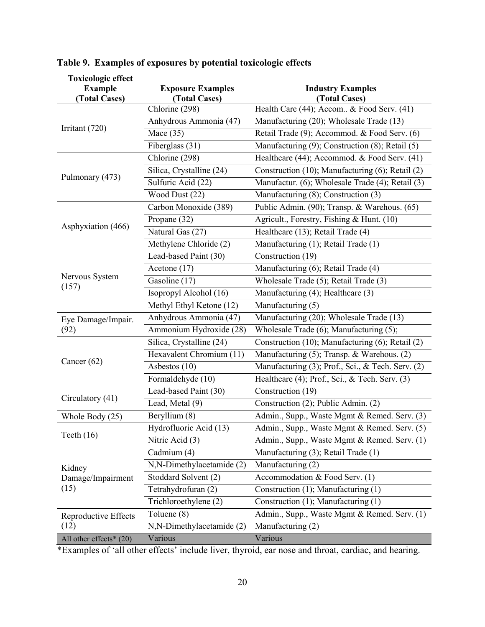| <b>Toxicologic effect</b> |                                                     |                                                            |  |  |
|---------------------------|-----------------------------------------------------|------------------------------------------------------------|--|--|
| <b>Example</b>            | <b>Exposure Examples</b>                            | <b>Industry Examples</b>                                   |  |  |
| (Total Cases)             | (Total Cases)<br>$\overline{\text{Chlorine}}$ (298) | (Total Cases)<br>Health Care (44); Accom & Food Serv. (41) |  |  |
|                           | Anhydrous Ammonia (47)                              | Manufacturing (20); Wholesale Trade (13)                   |  |  |
| Irritant (720)            | Mace $(35)$                                         | Retail Trade (9); Accommod. & Food Serv. (6)               |  |  |
|                           | Fiberglass (31)                                     | Manufacturing (9); Construction (8); Retail (5)            |  |  |
|                           | Chlorine (298)                                      | Healthcare (44); Accommod. & Food Serv. (41)               |  |  |
|                           |                                                     | Construction (10); Manufacturing (6); Retail (2)           |  |  |
| Pulmonary (473)           | Silica, Crystalline (24)                            | Manufactur. (6); Wholesale Trade (4); Retail (3)           |  |  |
|                           | Sulfuric Acid (22)                                  |                                                            |  |  |
|                           | Wood Dust (22)                                      | Manufacturing (8); Construction (3)                        |  |  |
| Asphyxiation (466)        | Carbon Monoxide (389)                               | Public Admin. (90); Transp. & Warehous. (65)               |  |  |
|                           | Propane (32)                                        | Agricult., Forestry, Fishing & Hunt. (10)                  |  |  |
|                           | Natural Gas (27)                                    | Healthcare (13); Retail Trade (4)                          |  |  |
|                           | Methylene Chloride (2)                              | Manufacturing (1); Retail Trade (1)                        |  |  |
| Nervous System<br>(157)   | Lead-based Paint (30)                               | Construction (19)                                          |  |  |
|                           | Acetone (17)                                        | Manufacturing (6); Retail Trade (4)                        |  |  |
|                           | Gasoline (17)                                       | Wholesale Trade (5); Retail Trade (3)                      |  |  |
|                           | Isopropyl Alcohol (16)                              | Manufacturing (4); Healthcare (3)                          |  |  |
|                           | Methyl Ethyl Ketone (12)                            | Manufacturing (5)                                          |  |  |
| Eye Damage/Impair.        | Anhydrous Ammonia (47)                              | Manufacturing (20); Wholesale Trade (13)                   |  |  |
| (92)                      | Ammonium Hydroxide (28)                             | Wholesale Trade (6); Manufacturing (5);                    |  |  |
|                           | Silica, Crystalline (24)                            | Construction (10); Manufacturing (6); Retail (2)           |  |  |
|                           | Hexavalent Chromium (11)                            | Manufacturing (5); Transp. & Warehous. (2)                 |  |  |
| Cancer $(62)$             | Asbestos (10)                                       | Manufacturing (3); Prof., Sci., & Tech. Serv. (2)          |  |  |
|                           | Formaldehyde (10)                                   | Healthcare (4); Prof., Sci., & Tech. Serv. (3)             |  |  |
|                           | Lead-based Paint (30)                               | Construction (19)                                          |  |  |
| Circulatory (41)          | Lead, Metal (9)                                     | Construction (2); Public Admin. (2)                        |  |  |
| Whole Body (25)           | Beryllium (8)                                       | Admin., Supp., Waste Mgmt & Remed. Serv. (3)               |  |  |
| Teeth $(16)$              | Hydrofluoric Acid (13)                              | Admin., Supp., Waste Mgmt & Remed. Serv. (5)               |  |  |
|                           | Nitric Acid (3)                                     | Admin., Supp., Waste Mgmt & Remed. Serv. (1)               |  |  |
|                           | Cadmium (4)                                         | Manufacturing (3); Retail Trade (1)                        |  |  |
| Kidney                    | N,N-Dimethylacetamide (2)                           | Manufacturing (2)                                          |  |  |
| Damage/Impairment<br>(15) | Stoddard Solvent (2)                                | Accommodation & Food Serv. (1)                             |  |  |
|                           | Tetrahydrofuran (2)                                 | Construction (1); Manufacturing (1)                        |  |  |
|                           | Trichloroethylene (2)                               | Construction (1); Manufacturing (1)                        |  |  |
| Reproductive Effects      | Toluene (8)                                         | Admin., Supp., Waste Mgmt & Remed. Serv. (1)               |  |  |
| (12)                      | N,N-Dimethylacetamide (2)                           | Manufacturing (2)                                          |  |  |
| All other effects* (20)   | Various                                             | Various                                                    |  |  |

# **Table 9. Examples of exposures by potential toxicologic effects**

\*Examples of 'all other effects' include liver, thyroid, ear nose and throat, cardiac, and hearing.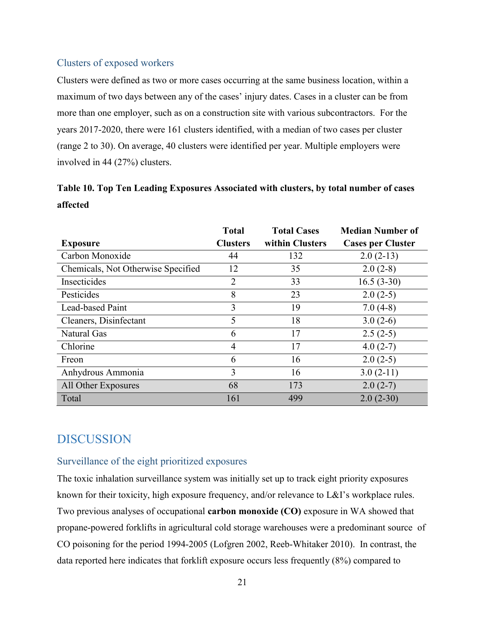## <span id="page-20-0"></span>Clusters of exposed workers

Clusters were defined as two or more cases occurring at the same business location, within a maximum of two days between any of the cases' injury dates. Cases in a cluster can be from more than one employer, such as on a construction site with various subcontractors. For the years 2017-2020, there were 161 clusters identified, with a median of two cases per cluster (range 2 to 30). On average, 40 clusters were identified per year. Multiple employers were involved in 44 (27%) clusters.

# **Table 10. Top Ten Leading Exposures Associated with clusters, by total number of cases affected**

|                                    | <b>Total</b>    | <b>Total Cases</b> | <b>Median Number of</b>  |
|------------------------------------|-----------------|--------------------|--------------------------|
| <b>Exposure</b>                    | <b>Clusters</b> | within Clusters    | <b>Cases per Cluster</b> |
| Carbon Monoxide                    | 44              | 132                | $2.0(2-13)$              |
| Chemicals, Not Otherwise Specified | 12              | 35                 | $2.0(2-8)$               |
| Insecticides                       | 2               | 33                 | $16.5(3-30)$             |
| Pesticides                         | 8               | 23                 | $2.0(2-5)$               |
| <b>Lead-based Paint</b>            | 3               | 19                 | $7.0(4-8)$               |
| Cleaners, Disinfectant             | 5               | 18                 | $3.0(2-6)$               |
| Natural Gas                        | 6               | 17                 | $2.5(2-5)$               |
| Chlorine                           | 4               | 17                 | $4.0(2-7)$               |
| Freon                              | 6               | 16                 | $2.0(2-5)$               |
| Anhydrous Ammonia                  | 3               | 16                 | $3.0(2-11)$              |
| All Other Exposures                | 68              | 173                | $2.0(2-7)$               |
| Total                              | 161             | 499                | $2.0(2-30)$              |

# <span id="page-20-1"></span>DISCUSSION

## <span id="page-20-2"></span>Surveillance of the eight prioritized exposures

The toxic inhalation surveillance system was initially set up to track eight priority exposures known for their toxicity, high exposure frequency, and/or relevance to L&I's workplace rules. Two previous analyses of occupational **carbon monoxide (CO)** exposure in WA showed that propane-powered forklifts in agricultural cold storage warehouses were a predominant source of CO poisoning for the period 1994-2005 (Lofgren 2002, Reeb-Whitaker 2010). In contrast, the data reported here indicates that forklift exposure occurs less frequently (8%) compared to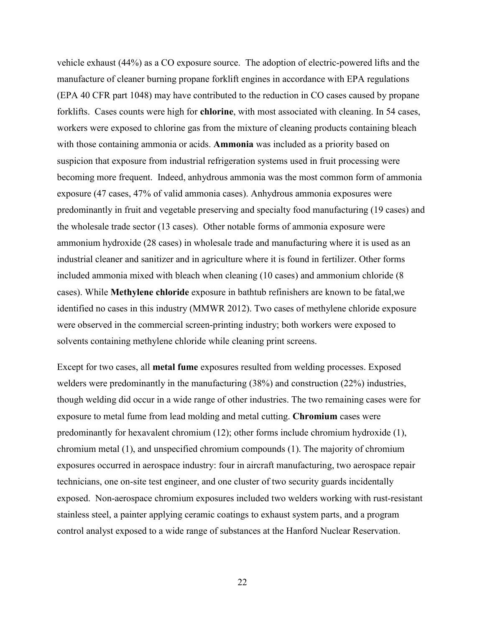vehicle exhaust (44%) as a CO exposure source. The adoption of electric-powered lifts and the manufacture of cleaner burning propane forklift engines in accordance with EPA regulations (EPA 40 CFR part 1048) may have contributed to the reduction in CO cases caused by propane forklifts. Cases counts were high for **chlorine**, with most associated with cleaning. In 54 cases, workers were exposed to chlorine gas from the mixture of cleaning products containing bleach with those containing ammonia or acids. **Ammonia** was included as a priority based on suspicion that exposure from industrial refrigeration systems used in fruit processing were becoming more frequent. Indeed, anhydrous ammonia was the most common form of ammonia exposure (47 cases, 47% of valid ammonia cases). Anhydrous ammonia exposures were predominantly in fruit and vegetable preserving and specialty food manufacturing (19 cases) and the wholesale trade sector (13 cases). Other notable forms of ammonia exposure were ammonium hydroxide (28 cases) in wholesale trade and manufacturing where it is used as an industrial cleaner and sanitizer and in agriculture where it is found in fertilizer. Other forms included ammonia mixed with bleach when cleaning (10 cases) and ammonium chloride (8 cases). While **Methylene chloride** exposure in bathtub refinishers are known to be fatal,we identified no cases in this industry (MMWR 2012). Two cases of methylene chloride exposure were observed in the commercial screen-printing industry; both workers were exposed to solvents containing methylene chloride while cleaning print screens.

Except for two cases, all **metal fume** exposures resulted from welding processes. Exposed welders were predominantly in the manufacturing (38%) and construction (22%) industries, though welding did occur in a wide range of other industries. The two remaining cases were for exposure to metal fume from lead molding and metal cutting. **Chromium** cases were predominantly for hexavalent chromium (12); other forms include chromium hydroxide (1), chromium metal (1), and unspecified chromium compounds (1). The majority of chromium exposures occurred in aerospace industry: four in aircraft manufacturing, two aerospace repair technicians, one on-site test engineer, and one cluster of two security guards incidentally exposed. Non-aerospace chromium exposures included two welders working with rust-resistant stainless steel, a painter applying ceramic coatings to exhaust system parts, and a program control analyst exposed to a wide range of substances at the Hanford Nuclear Reservation.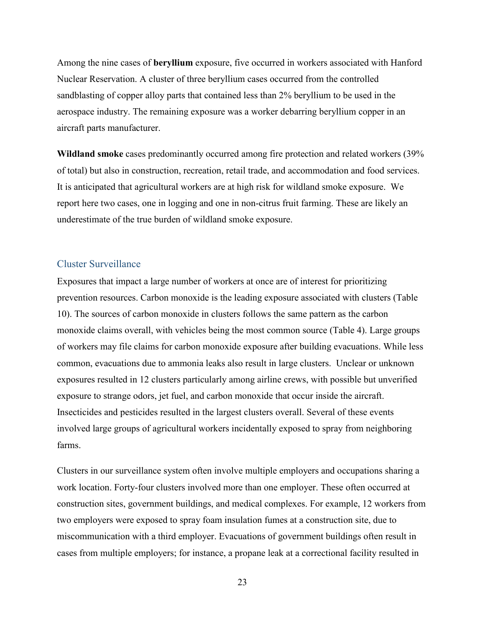Among the nine cases of **beryllium** exposure, five occurred in workers associated with Hanford Nuclear Reservation. A cluster of three beryllium cases occurred from the controlled sandblasting of copper alloy parts that contained less than 2% beryllium to be used in the aerospace industry. The remaining exposure was a worker debarring beryllium copper in an aircraft parts manufacturer.

**Wildland smoke** cases predominantly occurred among fire protection and related workers (39% of total) but also in construction, recreation, retail trade, and accommodation and food services. It is anticipated that agricultural workers are at high risk for wildland smoke exposure. We report here two cases, one in logging and one in non-citrus fruit farming. These are likely an underestimate of the true burden of wildland smoke exposure.

#### <span id="page-22-0"></span>Cluster Surveillance

Exposures that impact a large number of workers at once are of interest for prioritizing prevention resources. Carbon monoxide is the leading exposure associated with clusters (Table 10). The sources of carbon monoxide in clusters follows the same pattern as the carbon monoxide claims overall, with vehicles being the most common source (Table 4). Large groups of workers may file claims for carbon monoxide exposure after building evacuations. While less common, evacuations due to ammonia leaks also result in large clusters. Unclear or unknown exposures resulted in 12 clusters particularly among airline crews, with possible but unverified exposure to strange odors, jet fuel, and carbon monoxide that occur inside the aircraft. Insecticides and pesticides resulted in the largest clusters overall. Several of these events involved large groups of agricultural workers incidentally exposed to spray from neighboring farms.

Clusters in our surveillance system often involve multiple employers and occupations sharing a work location. Forty-four clusters involved more than one employer. These often occurred at construction sites, government buildings, and medical complexes. For example, 12 workers from two employers were exposed to spray foam insulation fumes at a construction site, due to miscommunication with a third employer. Evacuations of government buildings often result in cases from multiple employers; for instance, a propane leak at a correctional facility resulted in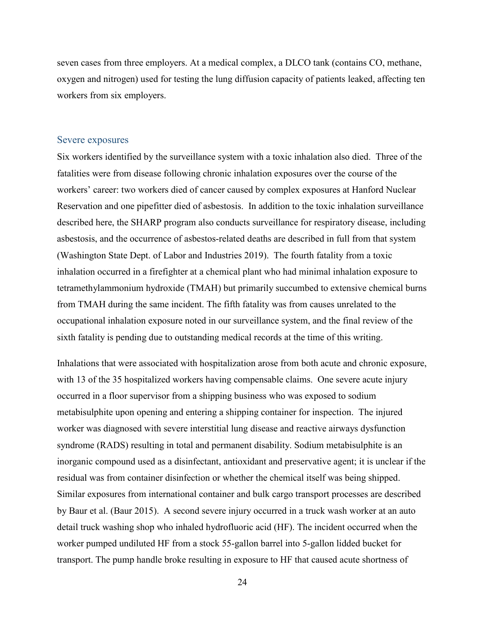seven cases from three employers. At a medical complex, a DLCO tank (contains CO, methane, oxygen and nitrogen) used for testing the lung diffusion capacity of patients leaked, affecting ten workers from six employers.

#### <span id="page-23-0"></span>Severe exposures

Six workers identified by the surveillance system with a toxic inhalation also died. Three of the fatalities were from disease following chronic inhalation exposures over the course of the workers' career: two workers died of cancer caused by complex exposures at Hanford Nuclear Reservation and one pipefitter died of asbestosis. In addition to the toxic inhalation surveillance described here, the SHARP program also conducts surveillance for respiratory disease, including asbestosis, and the occurrence of asbestos-related deaths are described in full from that system (Washington State Dept. of Labor and Industries 2019). The fourth fatality from a toxic inhalation occurred in a firefighter at a chemical plant who had minimal inhalation exposure to tetramethylammonium hydroxide (TMAH) but primarily succumbed to extensive chemical burns from TMAH during the same incident. The fifth fatality was from causes unrelated to the occupational inhalation exposure noted in our surveillance system, and the final review of the sixth fatality is pending due to outstanding medical records at the time of this writing.

Inhalations that were associated with hospitalization arose from both acute and chronic exposure, with 13 of the 35 hospitalized workers having compensable claims. One severe acute injury occurred in a floor supervisor from a shipping business who was exposed to sodium metabisulphite upon opening and entering a shipping container for inspection. The injured worker was diagnosed with severe interstitial lung disease and reactive airways dysfunction syndrome (RADS) resulting in total and permanent disability. Sodium metabisulphite is an inorganic compound used as a disinfectant, antioxidant and preservative agent; it is unclear if the residual was from container disinfection or whether the chemical itself was being shipped. Similar exposures from international container and bulk cargo transport processes are described by Baur et al. (Baur 2015). A second severe injury occurred in a truck wash worker at an auto detail truck washing shop who inhaled hydrofluoric acid (HF). The incident occurred when the worker pumped undiluted HF from a stock 55-gallon barrel into 5-gallon lidded bucket for transport. The pump handle broke resulting in exposure to HF that caused acute shortness of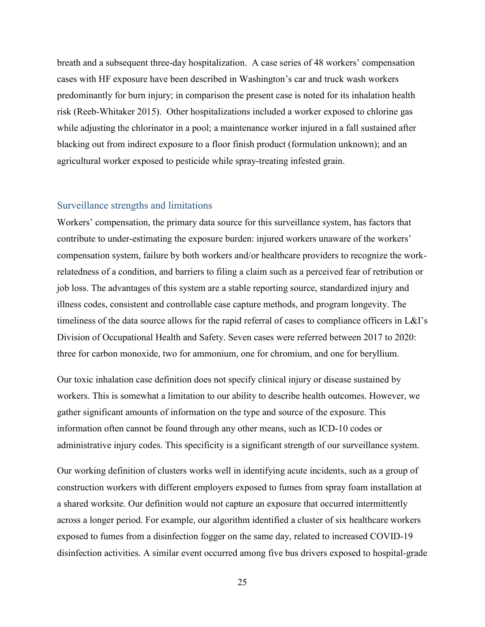breath and a subsequent three-day hospitalization. A case series of 48 workers' compensation cases with HF exposure have been described in Washington's car and truck wash workers predominantly for burn injury; in comparison the present case is noted for its inhalation health risk (Reeb-Whitaker 2015). Other hospitalizations included a worker exposed to chlorine gas while adjusting the chlorinator in a pool; a maintenance worker injured in a fall sustained after blacking out from indirect exposure to a floor finish product (formulation unknown); and an agricultural worker exposed to pesticide while spray-treating infested grain.

#### <span id="page-24-0"></span>Surveillance strengths and limitations

Workers' compensation, the primary data source for this surveillance system, has factors that contribute to under-estimating the exposure burden: injured workers unaware of the workers' compensation system, failure by both workers and/or healthcare providers to recognize the workrelatedness of a condition, and barriers to filing a claim such as a perceived fear of retribution or job loss. The advantages of this system are a stable reporting source, standardized injury and illness codes, consistent and controllable case capture methods, and program longevity. The timeliness of the data source allows for the rapid referral of cases to compliance officers in L&I's Division of Occupational Health and Safety. Seven cases were referred between 2017 to 2020: three for carbon monoxide, two for ammonium, one for chromium, and one for beryllium.

Our toxic inhalation case definition does not specify clinical injury or disease sustained by workers. This is somewhat a limitation to our ability to describe health outcomes. However, we gather significant amounts of information on the type and source of the exposure. This information often cannot be found through any other means, such as ICD-10 codes or administrative injury codes. This specificity is a significant strength of our surveillance system.

Our working definition of clusters works well in identifying acute incidents, such as a group of construction workers with different employers exposed to fumes from spray foam installation at a shared worksite. Our definition would not capture an exposure that occurred intermittently across a longer period. For example, our algorithm identified a cluster of six healthcare workers exposed to fumes from a disinfection fogger on the same day, related to increased COVID-19 disinfection activities. A similar event occurred among five bus drivers exposed to hospital-grade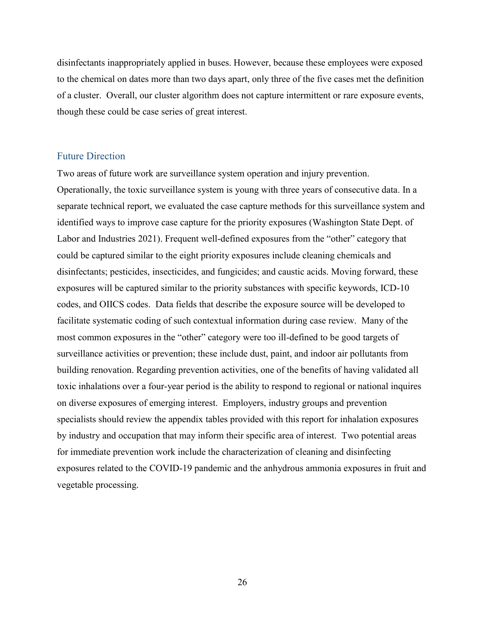disinfectants inappropriately applied in buses. However, because these employees were exposed to the chemical on dates more than two days apart, only three of the five cases met the definition of a cluster. Overall, our cluster algorithm does not capture intermittent or rare exposure events, though these could be case series of great interest.

### <span id="page-25-0"></span>Future Direction

Two areas of future work are surveillance system operation and injury prevention. Operationally, the toxic surveillance system is young with three years of consecutive data. In a separate technical report, we evaluated the case capture methods for this surveillance system and identified ways to improve case capture for the priority exposures (Washington State Dept. of Labor and Industries 2021). Frequent well-defined exposures from the "other" category that could be captured similar to the eight priority exposures include cleaning chemicals and disinfectants; pesticides, insecticides, and fungicides; and caustic acids. Moving forward, these exposures will be captured similar to the priority substances with specific keywords, ICD-10 codes, and OIICS codes. Data fields that describe the exposure source will be developed to facilitate systematic coding of such contextual information during case review. Many of the most common exposures in the "other" category were too ill-defined to be good targets of surveillance activities or prevention; these include dust, paint, and indoor air pollutants from building renovation. Regarding prevention activities, one of the benefits of having validated all toxic inhalations over a four-year period is the ability to respond to regional or national inquires on diverse exposures of emerging interest. Employers, industry groups and prevention specialists should review the appendix tables provided with this report for inhalation exposures by industry and occupation that may inform their specific area of interest. Two potential areas for immediate prevention work include the characterization of cleaning and disinfecting exposures related to the COVID-19 pandemic and the anhydrous ammonia exposures in fruit and vegetable processing.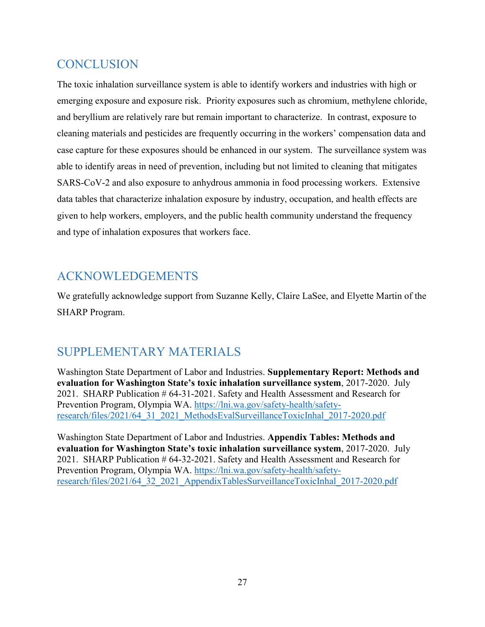# <span id="page-26-0"></span>**CONCLUSION**

The toxic inhalation surveillance system is able to identify workers and industries with high or emerging exposure and exposure risk. Priority exposures such as chromium, methylene chloride, and beryllium are relatively rare but remain important to characterize. In contrast, exposure to cleaning materials and pesticides are frequently occurring in the workers' compensation data and case capture for these exposures should be enhanced in our system. The surveillance system was able to identify areas in need of prevention, including but not limited to cleaning that mitigates SARS-CoV-2 and also exposure to anhydrous ammonia in food processing workers. Extensive data tables that characterize inhalation exposure by industry, occupation, and health effects are given to help workers, employers, and the public health community understand the frequency and type of inhalation exposures that workers face.

# <span id="page-26-1"></span>ACKNOWLEDGEMENTS

We gratefully acknowledge support from Suzanne Kelly, Claire LaSee, and Elyette Martin of the SHARP Program.

# <span id="page-26-2"></span>SUPPLEMENTARY MATERIALS

Washington State Department of Labor and Industries. **Supplementary Report: Methods and evaluation for Washington State's toxic inhalation surveillance system**, 2017-2020. July 2021. SHARP Publication # 64-31-2021. Safety and Health Assessment and Research for Prevention Program, Olympia WA. [https://lni.wa.gov/safety-health/safety](https://lni.wa.gov/safety-health/safety-research/files/2021/64_31_2021_MethodsEvalSurveillanceToxicInhal_2017-2020.pdf)[research/files/2021/64\\_31\\_2021\\_MethodsEvalSurveillanceToxicInhal\\_2017-2020.pdf](https://lni.wa.gov/safety-health/safety-research/files/2021/64_31_2021_MethodsEvalSurveillanceToxicInhal_2017-2020.pdf)

Washington State Department of Labor and Industries. **Appendix Tables: Methods and evaluation for Washington State's toxic inhalation surveillance system**, 2017-2020. July 2021. SHARP Publication # 64-32-2021. Safety and Health Assessment and Research for Prevention Program, Olympia WA. [https://lni.wa.gov/safety-health/safety](https://lni.wa.gov/safety-health/safety-research/files/2021/64_32_2021_AppendixTablesSurveillanceToxicInhal_2017-2020.pdf)[research/files/2021/64\\_32\\_2021\\_AppendixTablesSurveillanceToxicInhal\\_2017-2020.pdf](https://lni.wa.gov/safety-health/safety-research/files/2021/64_32_2021_AppendixTablesSurveillanceToxicInhal_2017-2020.pdf)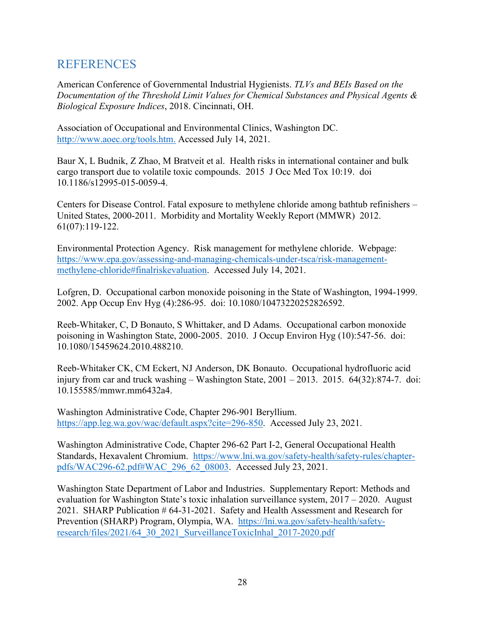# <span id="page-27-0"></span>**REFERENCES**

American Conference of Governmental Industrial Hygienists. *TLVs and BEIs Based on the Documentation of the Threshold Limit Values for Chemical Substances and Physical Agents & Biological Exposure Indices*, 2018. Cincinnati, OH.

Association of Occupational and Environmental Clinics, Washington DC. [http://www.aoec.org/tools.htm.](http://www.aoec.org/tools.htm) Accessed July 14, 2021.

Baur X, L Budnik, Z Zhao, M Bratveit et al. Health risks in international container and bulk cargo transport due to volatile toxic compounds. 2015 J Occ Med Tox 10:19. doi 10.1186/s12995-015-0059-4.

Centers for Disease Control. Fatal exposure to methylene chloride among bathtub refinishers – United States, 2000-2011. Morbidity and Mortality Weekly Report (MMWR) 2012. 61(07):119-122.

Environmental Protection Agency. Risk management for methylene chloride. Webpage: [https://www.epa.gov/assessing-and-managing-chemicals-under-tsca/risk-management](https://www.epa.gov/assessing-and-managing-chemicals-under-tsca/risk-management-methylene-chloride#finalriskevaluation)[methylene-chloride#finalriskevaluation.](https://www.epa.gov/assessing-and-managing-chemicals-under-tsca/risk-management-methylene-chloride#finalriskevaluation) Accessed July 14, 2021.

Lofgren, D. Occupational carbon monoxide poisoning in the State of Washington, 1994-1999. 2002. App Occup Env Hyg (4):286-95. doi: 10.1080/10473220252826592.

Reeb-Whitaker, C, D Bonauto, S Whittaker, and D Adams. Occupational carbon monoxide poisoning in Washington State, 2000-2005. 2010. J Occup Environ Hyg (10):547-56. doi: 10.1080/15459624.2010.488210.

Reeb-Whitaker CK, CM Eckert, NJ Anderson, DK Bonauto. Occupational hydrofluoric acid injury from car and truck washing – Washington State,  $2001 - 2013$ .  $2015$ .  $64(32):874-7$ . doi: 10.155585/mmwr.mm6432a4.

Washington Administrative Code, Chapter 296-901 Beryllium. [https://app.leg.wa.gov/wac/default.aspx?cite=296-850.](https://app.leg.wa.gov/wac/default.aspx?cite=296-850) Accessed July 23, 2021.

Washington Administrative Code, Chapter 296-62 Part I-2, General Occupational Health Standards, Hexavalent Chromium. [https://www.lni.wa.gov/safety-health/safety-rules/chapter](https://www.lni.wa.gov/safety-health/safety-rules/chapter-pdfs/WAC296-62.pdf#WAC_296_62_08003)[pdfs/WAC296-62.pdf#WAC\\_296\\_62\\_08003.](https://www.lni.wa.gov/safety-health/safety-rules/chapter-pdfs/WAC296-62.pdf#WAC_296_62_08003) Accessed July 23, 2021.

Washington State Department of Labor and Industries. Supplementary Report: Methods and evaluation for Washington State's toxic inhalation surveillance system, 2017 – 2020. August 2021. SHARP Publication # 64-31-2021. Safety and Health Assessment and Research for Prevention (SHARP) Program, Olympia, WA. [https://lni.wa.gov/safety-health/safety](https://lni.wa.gov/safety-health/safety-research/files/2021/64_30_2021_SurveillanceToxicInhal_2017-2020.pdf)[research/files/2021/64\\_30\\_2021\\_SurveillanceToxicInhal\\_2017-2020.pdf](https://lni.wa.gov/safety-health/safety-research/files/2021/64_30_2021_SurveillanceToxicInhal_2017-2020.pdf)